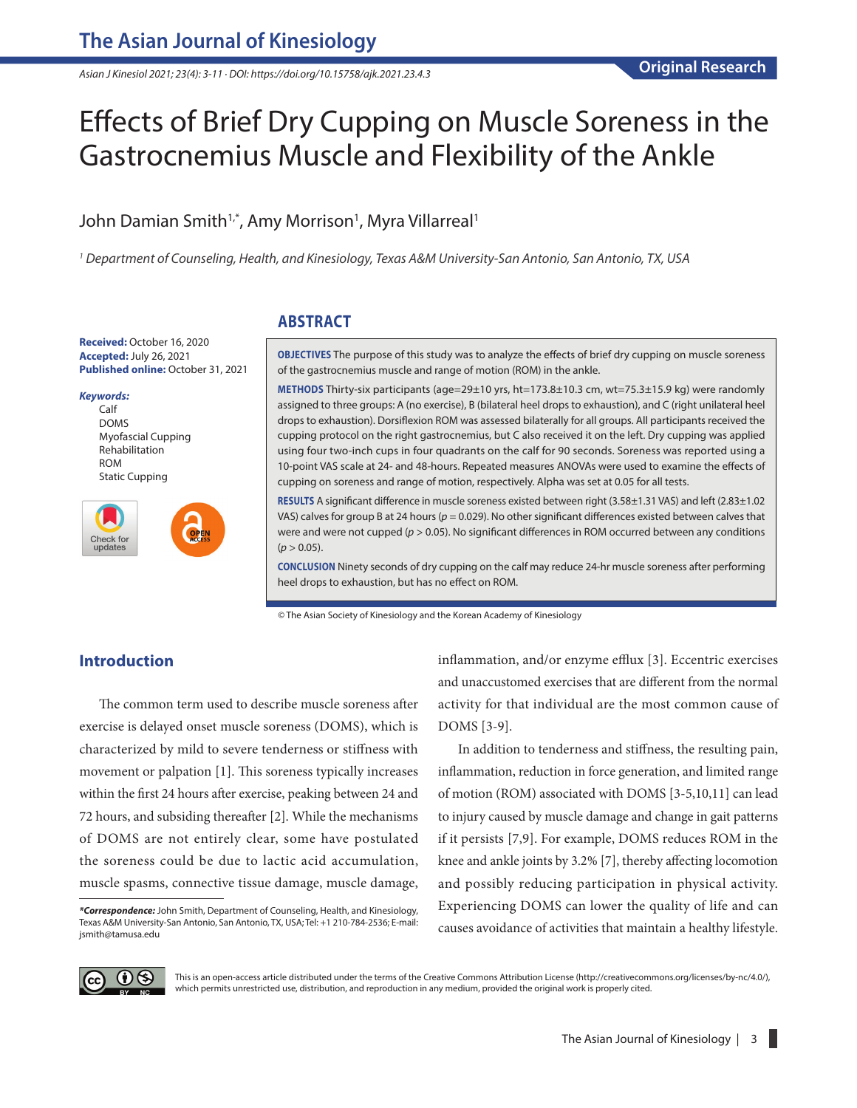*Asian J Kinesiol 2021; 23(4): 3-11 · DOI: https://doi.org/10.15758/ajk.2021.23.4.3*

# Effects of Brief Dry Cupping on Muscle Soreness in the Gastrocnemius Muscle and Flexibility of the Ankle

# John Damian Smith<sup>1,\*</sup>, Amy Morrison<sup>1</sup>, Myra Villarreal<sup>1</sup>

*1 Department of Counseling, Health, and Kinesiology, Texas A&M University-San Antonio, San Antonio, TX, USA*

# **ABSTRACT**

**Received:** October 16, 2020 **Accepted:** July 26, 2021 **Published online:** October 31, 2021

*Keywords:* Calf DOMS Myofascial Cupping Rehabilitation ROM Static Cupping



**OBJECTIVES** The purpose of this study was to analyze the effects of brief dry cupping on muscle soreness of the gastrocnemius muscle and range of motion (ROM) in the ankle.

**METHODS** Thirty-six participants (age=29±10 yrs, ht=173.8±10.3 cm, wt=75.3±15.9 kg) were randomly assigned to three groups: A (no exercise), B (bilateral heel drops to exhaustion), and C (right unilateral heel drops to exhaustion). Dorsiflexion ROM was assessed bilaterally for all groups. All participants received the cupping protocol on the right gastrocnemius, but C also received it on the left. Dry cupping was applied using four two-inch cups in four quadrants on the calf for 90 seconds. Soreness was reported using a 10-point VAS scale at 24- and 48-hours. Repeated measures ANOVAs were used to examine the effects of cupping on soreness and range of motion, respectively. Alpha was set at 0.05 for all tests.

**RESULTS** A significant difference in muscle soreness existed between right (3.58±1.31 VAS) and left (2.83±1.02 VAS) calves for group B at 24 hours (*p* = 0.029). No other significant differences existed between calves that were and were not cupped ( $p > 0.05$ ). No significant differences in ROM occurred between any conditions  $(p > 0.05)$ .

**CONCLUSION** Ninety seconds of dry cupping on the calf may reduce 24-hr muscle soreness after performing heel drops to exhaustion, but has no effect on ROM.

© The Asian Society of Kinesiology and the Korean Academy of Kinesiology

# **Introduction**

The common term used to describe muscle soreness after exercise is delayed onset muscle soreness (DOMS), which is characterized by mild to severe tenderness or stiffness with movement or palpation [1]. This soreness typically increases within the first 24 hours after exercise, peaking between 24 and 72 hours, and subsiding thereafter [2]. While the mechanisms of DOMS are not entirely clear, some have postulated the soreness could be due to lactic acid accumulation, muscle spasms, connective tissue damage, muscle damage, inflammation, and/or enzyme efflux [3]. Eccentric exercises and unaccustomed exercises that are different from the normal activity for that individual are the most common cause of DOMS [3-9].

In addition to tenderness and stiffness, the resulting pain, inflammation, reduction in force generation, and limited range of motion (ROM) associated with DOMS [3-5,10,11] can lead to injury caused by muscle damage and change in gait patterns if it persists [7,9]. For example, DOMS reduces ROM in the knee and ankle joints by 3.2% [7], thereby affecting locomotion and possibly reducing participation in physical activity. Experiencing DOMS can lower the quality of life and can causes avoidance of activities that maintain a healthy lifestyle.



This is an open-access article distributed under the terms of the Creative Commons Attribution License (http://creativecommons.org/licenses/by-nc/4.0/), which permits unrestricted use, distribution, and reproduction in any medium, provided the original work is properly cited.

*<sup>\*</sup>Correspondence:* John Smith, Department of Counseling, Health, and Kinesiology, Texas A&M University-San Antonio, San Antonio, TX, USA; Tel: +1 210-784-2536; E-mail: jsmith@tamusa.edu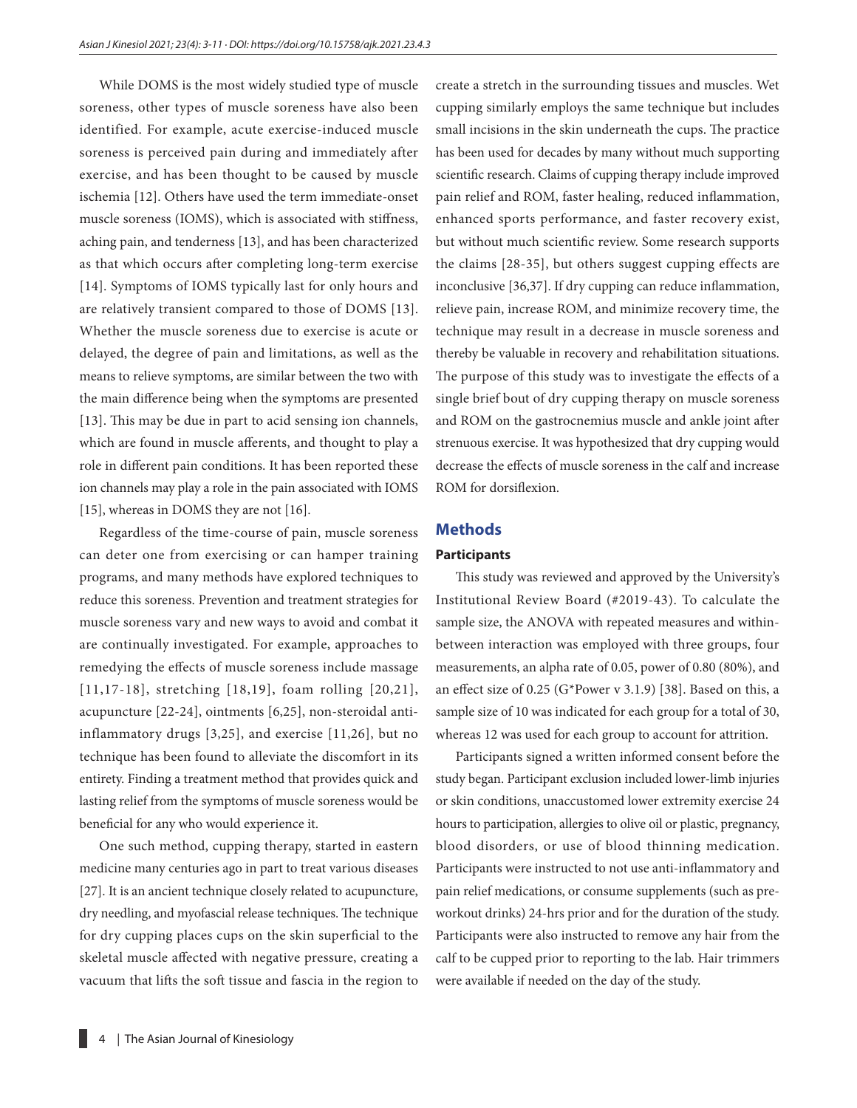While DOMS is the most widely studied type of muscle soreness, other types of muscle soreness have also been identified. For example, acute exercise-induced muscle soreness is perceived pain during and immediately after exercise, and has been thought to be caused by muscle ischemia [12]. Others have used the term immediate-onset muscle soreness (IOMS), which is associated with stiffness, aching pain, and tenderness [13], and has been characterized as that which occurs after completing long-term exercise [14]. Symptoms of IOMS typically last for only hours and are relatively transient compared to those of DOMS [13]. Whether the muscle soreness due to exercise is acute or delayed, the degree of pain and limitations, as well as the means to relieve symptoms, are similar between the two with the main difference being when the symptoms are presented [13]. This may be due in part to acid sensing ion channels, which are found in muscle afferents, and thought to play a role in different pain conditions. It has been reported these ion channels may play a role in the pain associated with IOMS [15], whereas in DOMS they are not [16].

Regardless of the time-course of pain, muscle soreness can deter one from exercising or can hamper training programs, and many methods have explored techniques to reduce this soreness. Prevention and treatment strategies for muscle soreness vary and new ways to avoid and combat it are continually investigated. For example, approaches to remedying the effects of muscle soreness include massage [11,17-18], stretching [18,19], foam rolling [20,21], acupuncture [22-24], ointments [6,25], non-steroidal antiinflammatory drugs [3,25], and exercise [11,26], but no technique has been found to alleviate the discomfort in its entirety. Finding a treatment method that provides quick and lasting relief from the symptoms of muscle soreness would be beneficial for any who would experience it.

One such method, cupping therapy, started in eastern medicine many centuries ago in part to treat various diseases [27]. It is an ancient technique closely related to acupuncture, dry needling, and myofascial release techniques. The technique for dry cupping places cups on the skin superficial to the skeletal muscle affected with negative pressure, creating a vacuum that lifts the soft tissue and fascia in the region to

create a stretch in the surrounding tissues and muscles. Wet cupping similarly employs the same technique but includes small incisions in the skin underneath the cups. The practice has been used for decades by many without much supporting scientific research. Claims of cupping therapy include improved pain relief and ROM, faster healing, reduced inflammation, enhanced sports performance, and faster recovery exist, but without much scientific review. Some research supports the claims [28-35], but others suggest cupping effects are inconclusive [36,37]. If dry cupping can reduce inflammation, relieve pain, increase ROM, and minimize recovery time, the technique may result in a decrease in muscle soreness and thereby be valuable in recovery and rehabilitation situations. The purpose of this study was to investigate the effects of a single brief bout of dry cupping therapy on muscle soreness and ROM on the gastrocnemius muscle and ankle joint after strenuous exercise. It was hypothesized that dry cupping would decrease the effects of muscle soreness in the calf and increase ROM for dorsiflexion.

#### **Methods**

#### **Participants**

This study was reviewed and approved by the University's Institutional Review Board (#2019-43). To calculate the sample size, the ANOVA with repeated measures and withinbetween interaction was employed with three groups, four measurements, an alpha rate of 0.05, power of 0.80 (80%), and an effect size of 0.25 (G\*Power v 3.1.9) [38]. Based on this, a sample size of 10 was indicated for each group for a total of 30, whereas 12 was used for each group to account for attrition.

Participants signed a written informed consent before the study began. Participant exclusion included lower-limb injuries or skin conditions, unaccustomed lower extremity exercise 24 hours to participation, allergies to olive oil or plastic, pregnancy, blood disorders, or use of blood thinning medication. Participants were instructed to not use anti-inflammatory and pain relief medications, or consume supplements (such as preworkout drinks) 24-hrs prior and for the duration of the study. Participants were also instructed to remove any hair from the calf to be cupped prior to reporting to the lab. Hair trimmers were available if needed on the day of the study.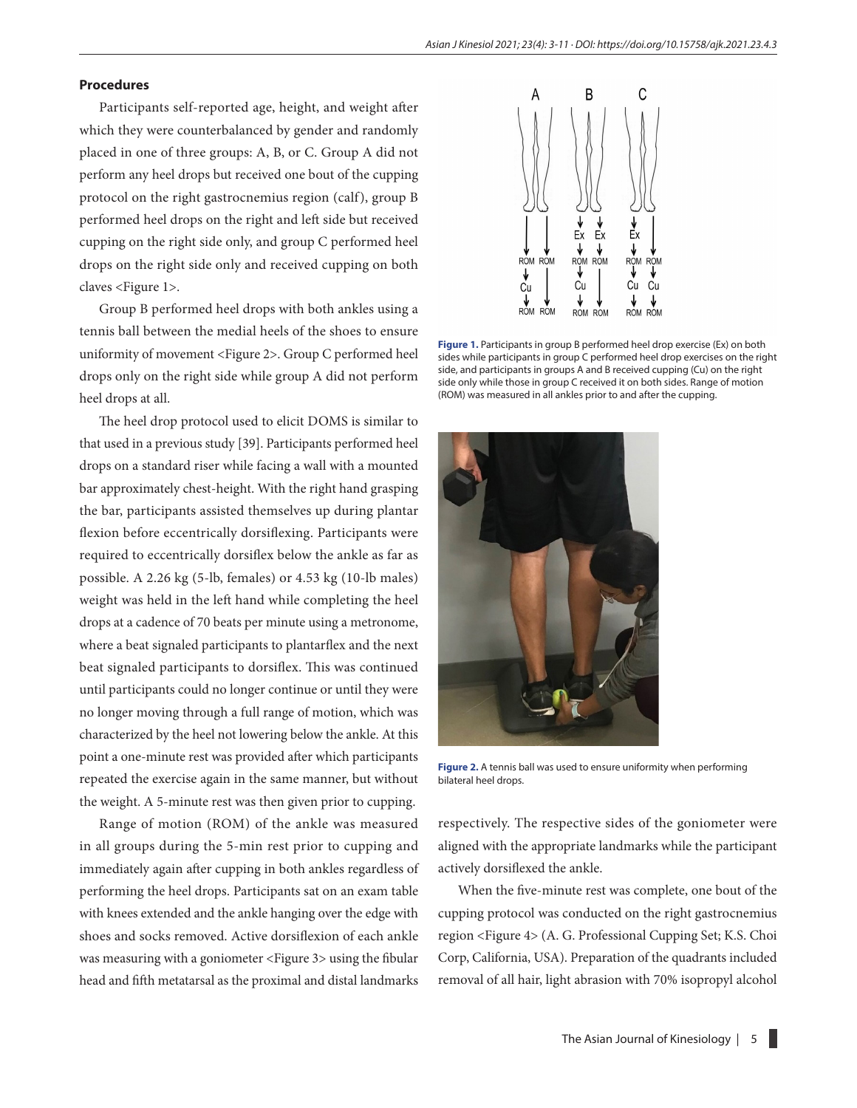#### **Procedures**

Participants self-reported age, height, and weight after which they were counterbalanced by gender and randomly placed in one of three groups: A, B, or C. Group A did not perform any heel drops but received one bout of the cupping protocol on the right gastrocnemius region (calf), group B performed heel drops on the right and left side but received cupping on the right side only, and group C performed heel drops on the right side only and received cupping on both claves <Figure 1>.

Group B performed heel drops with both ankles using a tennis ball between the medial heels of the shoes to ensure uniformity of movement <Figure 2>. Group C performed heel drops only on the right side while group A did not perform heel drops at all.

The heel drop protocol used to elicit DOMS is similar to that used in a previous study [39]. Participants performed heel drops on a standard riser while facing a wall with a mounted bar approximately chest-height. With the right hand grasping the bar, participants assisted themselves up during plantar flexion before eccentrically dorsiflexing. Participants were required to eccentrically dorsiflex below the ankle as far as possible. A 2.26 kg (5-lb, females) or 4.53 kg (10-lb males) weight was held in the left hand while completing the heel drops at a cadence of 70 beats per minute using a metronome, where a beat signaled participants to plantarflex and the next beat signaled participants to dorsiflex. This was continued until participants could no longer continue or until they were no longer moving through a full range of motion, which was characterized by the heel not lowering below the ankle. At this point a one-minute rest was provided after which participants repeated the exercise again in the same manner, but without the weight. A 5-minute rest was then given prior to cupping.

Range of motion (ROM) of the ankle was measured in all groups during the 5-min rest prior to cupping and immediately again after cupping in both ankles regardless of performing the heel drops. Participants sat on an exam table with knees extended and the ankle hanging over the edge with shoes and socks removed. Active dorsiflexion of each ankle was measuring with a goniometer <Figure 3> using the fibular head and fifth metatarsal as the proximal and distal landmarks



**Figure 1.** Participants in group B performed heel drop exercise (Ex) on both sides while participants in group C performed heel drop exercises on the right side, and participants in groups A and B received cupping (Cu) on the right side only while those in group C received it on both sides. Range of motion (ROM) was measured in all ankles prior to and after the cupping.



**Figure 2.** A tennis ball was used to ensure uniformity when performing bilateral heel drops.

respectively. The respective sides of the goniometer were aligned with the appropriate landmarks while the participant actively dorsiflexed the ankle.

When the five-minute rest was complete, one bout of the cupping protocol was conducted on the right gastrocnemius region <Figure 4> (A. G. Professional Cupping Set; K.S. Choi Corp, California, USA). Preparation of the quadrants included removal of all hair, light abrasion with 70% isopropyl alcohol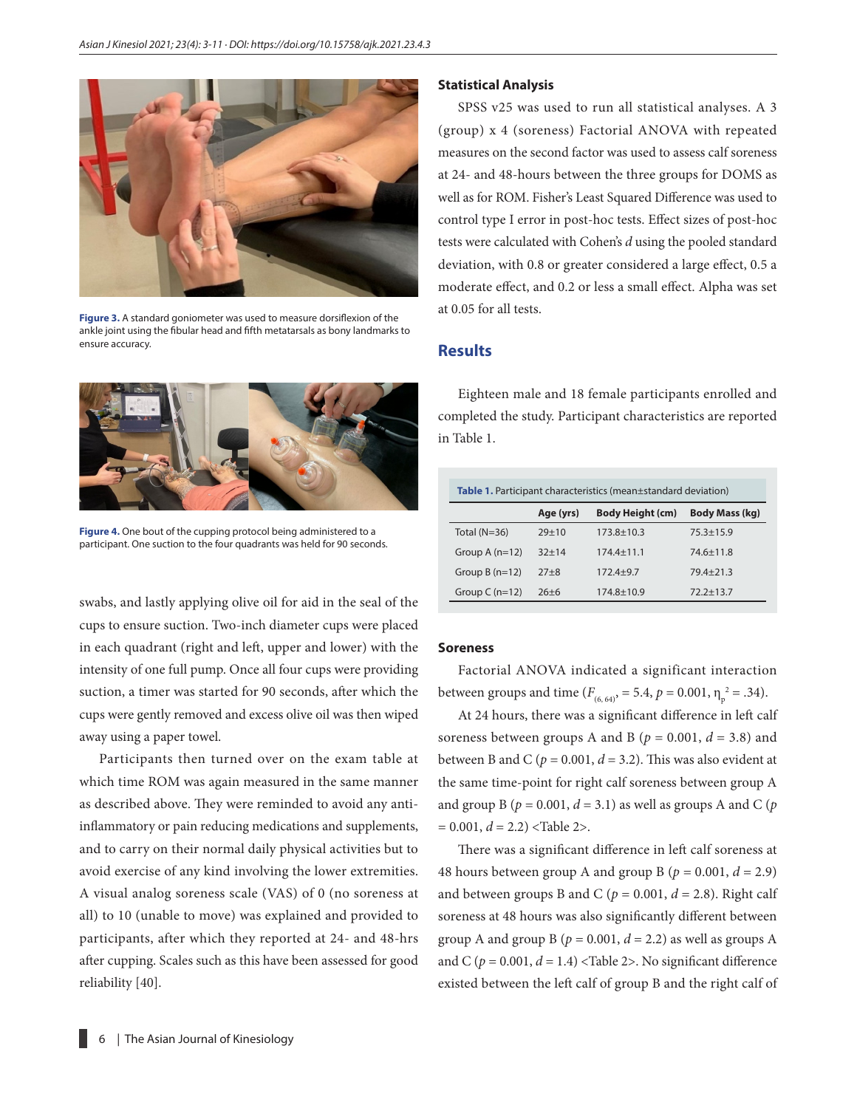

**Figure 3.** A standard goniometer was used to measure dorsiflexion of the ankle joint using the fibular head and fifth metatarsals as bony landmarks to ensure accuracy.



**Figure 4.** One bout of the cupping protocol being administered to a participant. One suction to the four quadrants was held for 90 seconds.

swabs, and lastly applying olive oil for aid in the seal of the cups to ensure suction. Two-inch diameter cups were placed in each quadrant (right and left, upper and lower) with the intensity of one full pump. Once all four cups were providing suction, a timer was started for 90 seconds, after which the cups were gently removed and excess olive oil was then wiped away using a paper towel.

Participants then turned over on the exam table at which time ROM was again measured in the same manner as described above. They were reminded to avoid any antiinflammatory or pain reducing medications and supplements, and to carry on their normal daily physical activities but to avoid exercise of any kind involving the lower extremities. A visual analog soreness scale (VAS) of 0 (no soreness at all) to 10 (unable to move) was explained and provided to participants, after which they reported at 24- and 48-hrs after cupping. Scales such as this have been assessed for good reliability [40].

#### **Statistical Analysis**

SPSS v25 was used to run all statistical analyses. A 3 (group) x 4 (soreness) Factorial ANOVA with repeated measures on the second factor was used to assess calf soreness at 24- and 48-hours between the three groups for DOMS as well as for ROM. Fisher's Least Squared Difference was used to control type I error in post-hoc tests. Effect sizes of post-hoc tests were calculated with Cohen's *d* using the pooled standard deviation, with 0.8 or greater considered a large effect, 0.5 a moderate effect, and 0.2 or less a small effect. Alpha was set at 0.05 for all tests.

#### **Results**

Eighteen male and 18 female participants enrolled and completed the study. Participant characteristics are reported in Table 1.

| <b>Table 1.</b> Participant characteristics (mean±standard deviation) |           |                         |                       |  |  |
|-----------------------------------------------------------------------|-----------|-------------------------|-----------------------|--|--|
|                                                                       | Age (yrs) | <b>Body Height (cm)</b> | <b>Body Mass (kg)</b> |  |  |
| Total $(N=36)$                                                        | $29 + 10$ | $173.8 \pm 10.3$        | $75.3 + 15.9$         |  |  |
| Group $A(n=12)$                                                       | $32 + 14$ | $174.4 \pm 11.1$        | $74.6 \pm 11.8$       |  |  |
| Group $B(n=12)$                                                       | $27 + 8$  | $172.4 + 9.7$           | $79.4 + 21.3$         |  |  |
| Group $C(n=12)$                                                       | $26 + 6$  | $174.8 \pm 10.9$        | $72.2 + 13.7$         |  |  |

#### **Soreness**

Factorial ANOVA indicated a significant interaction between groups and time ( $F_{(6, 64)}$ , = 5.4,  $p = 0.001$ ,  $\eta_p^2 = .34$ ).

At 24 hours, there was a significant difference in left calf soreness between groups A and B ( $p = 0.001$ ,  $d = 3.8$ ) and between B and C ( $p = 0.001$ ,  $d = 3.2$ ). This was also evident at the same time-point for right calf soreness between group A and group B ( $p = 0.001$ ,  $d = 3.1$ ) as well as groups A and C ( $p$  $= 0.001, d = 2.2$ ) <Table 2>.

There was a significant difference in left calf soreness at 48 hours between group A and group B ( $p = 0.001$ ,  $d = 2.9$ ) and between groups B and C ( $p = 0.001$ ,  $d = 2.8$ ). Right calf soreness at 48 hours was also significantly different between group A and group B ( $p = 0.001$ ,  $d = 2.2$ ) as well as groups A and C ( $p = 0.001$ ,  $d = 1.4$ ) <Table 2>. No significant difference existed between the left calf of group B and the right calf of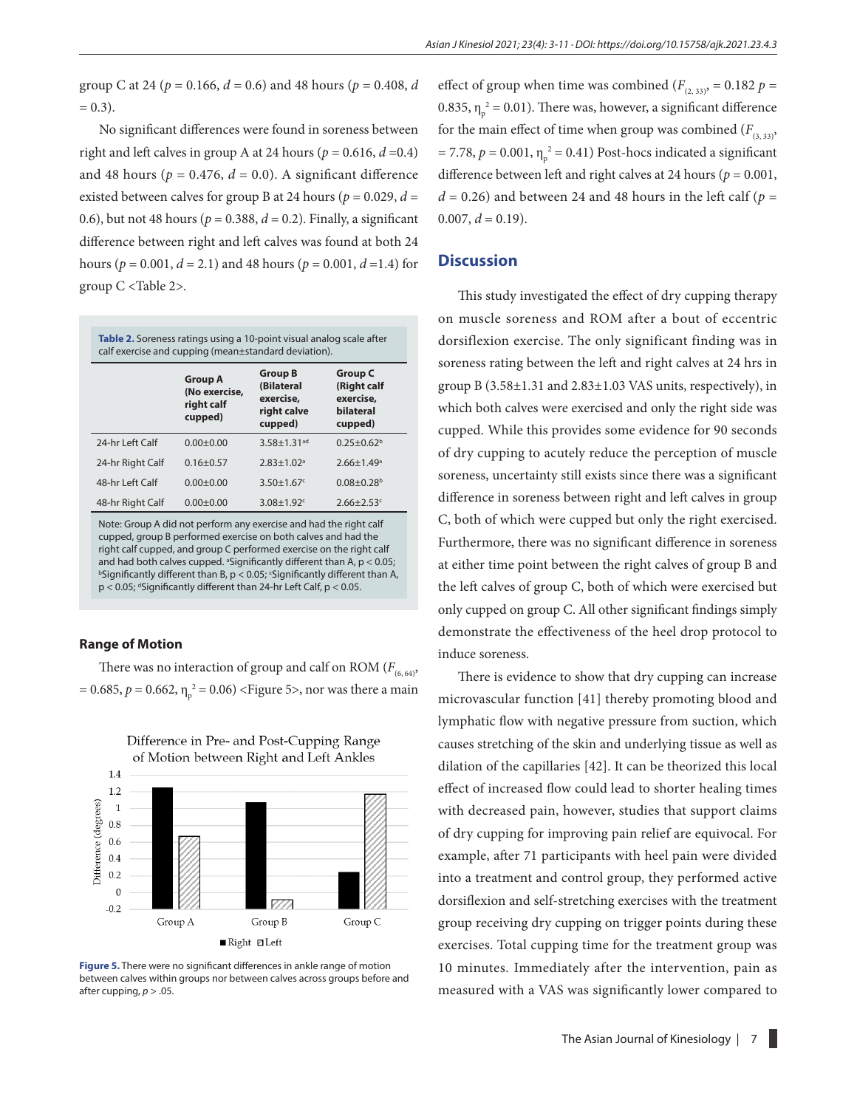group C at 24 ( $p = 0.166$ ,  $d = 0.6$ ) and 48 hours ( $p = 0.408$ ,  $d$  $= 0.3$ ).

No significant differences were found in soreness between right and left calves in group A at 24 hours ( $p = 0.616$ ,  $d = 0.4$ ) and 48 hours ( $p = 0.476$ ,  $d = 0.0$ ). A significant difference existed between calves for group B at 24 hours ( $p = 0.029$ ,  $d =$ 0.6), but not 48 hours ( $p = 0.388$ ,  $d = 0.2$ ). Finally, a significant difference between right and left calves was found at both 24 hours ( $p = 0.001$ ,  $d = 2.1$ ) and 48 hours ( $p = 0.001$ ,  $d = 1.4$ ) for group C <Table 2>.

| Table 2. Soreness ratings using a 10-point visual analog scale after<br>calf exercise and cupping (mean±standard deviation). |                                                          |                                                                     |                                                                    |  |
|------------------------------------------------------------------------------------------------------------------------------|----------------------------------------------------------|---------------------------------------------------------------------|--------------------------------------------------------------------|--|
|                                                                                                                              | <b>Group A</b><br>(No exercise,<br>right calf<br>cupped) | <b>Group B</b><br>(Bilateral<br>exercise,<br>right calve<br>cupped) | <b>Group C</b><br>(Right calf<br>exercise,<br>bilateral<br>cupped) |  |
| 24-hr I eft Calf                                                                                                             | $0.00 + 0.00$                                            | $3.58 + 1.31$ <sup>ad</sup>                                         | $0.25 + 0.62^b$                                                    |  |
| 24-hr Right Calf                                                                                                             | $0.16 + 0.57$                                            | $2.83 + 1.02a$                                                      | $2.66 + 1.49$ <sup>a</sup>                                         |  |
| 48-hr I eft Calf                                                                                                             | $0.00 + 0.00$                                            | $3.50 + 1.67$                                                       | $0.08 + 0.28$ <sup>b</sup>                                         |  |
| 48-hr Right Calf                                                                                                             | $0.00 + 0.00$                                            | $3.08 + 1.92$ <sup>c</sup>                                          | $2.66 \pm 2.53$ <sup>c</sup>                                       |  |

Note: Group A did not perform any exercise and had the right calf cupped, group B performed exercise on both calves and had the right calf cupped, and group C performed exercise on the right calf and had both calves cupped.  $^{\circ}$ Significantly different than A, p < 0.05;<br> $^{\circ}$ Significantly different than B, p < 0.05; Significantly different than A Significantly different than B,  $p < 0.05$ ; 'Significantly different than A, p < 0.05; dSignificantly different than 24-hr Left Calf, p < 0.05.

#### **Range of Motion**

There was no interaction of group and calf on ROM  $(F<sub>(6, 64)</sub>)$ , = 0.685,  $p = 0.662$ ,  $\eta_p^2 = 0.06$ ) <Figure 5>, nor was there a main



# Difference in Pre- and Post-Cupping Range of Motion between Right and Left Ankles

**Figure 5.** There were no significant differences in ankle range of motion between calves within groups nor between calves across groups before and after cupping,  $p > .05$ .

effect of group when time was combined ( $F_{(2, 33)}$ , = 0.182  $p =$ 0.835,  $\eta_p^2 = 0.01$ ). There was, however, a significant difference for the main effect of time when group was combined  $(F_{(3,33)},$  $= 7.78, p = 0.001, \eta_{p}^{2} = 0.41$ ) Post-hocs indicated a significant difference between left and right calves at 24 hours ( $p = 0.001$ ,  $d = 0.26$ ) and between 24 and 48 hours in the left calf ( $p =$  $0.007, d = 0.19$ .

#### **Discussion**

This study investigated the effect of dry cupping therapy on muscle soreness and ROM after a bout of eccentric dorsiflexion exercise. The only significant finding was in soreness rating between the left and right calves at 24 hrs in group B (3.58±1.31 and 2.83±1.03 VAS units, respectively), in which both calves were exercised and only the right side was cupped. While this provides some evidence for 90 seconds of dry cupping to acutely reduce the perception of muscle soreness, uncertainty still exists since there was a significant difference in soreness between right and left calves in group C, both of which were cupped but only the right exercised. Furthermore, there was no significant difference in soreness at either time point between the right calves of group B and the left calves of group C, both of which were exercised but only cupped on group C. All other significant findings simply demonstrate the effectiveness of the heel drop protocol to induce soreness.

There is evidence to show that dry cupping can increase microvascular function [41] thereby promoting blood and lymphatic flow with negative pressure from suction, which causes stretching of the skin and underlying tissue as well as dilation of the capillaries [42]. It can be theorized this local effect of increased flow could lead to shorter healing times with decreased pain, however, studies that support claims of dry cupping for improving pain relief are equivocal. For example, after 71 participants with heel pain were divided into a treatment and control group, they performed active dorsiflexion and self-stretching exercises with the treatment group receiving dry cupping on trigger points during these exercises. Total cupping time for the treatment group was 10 minutes. Immediately after the intervention, pain as measured with a VAS was significantly lower compared to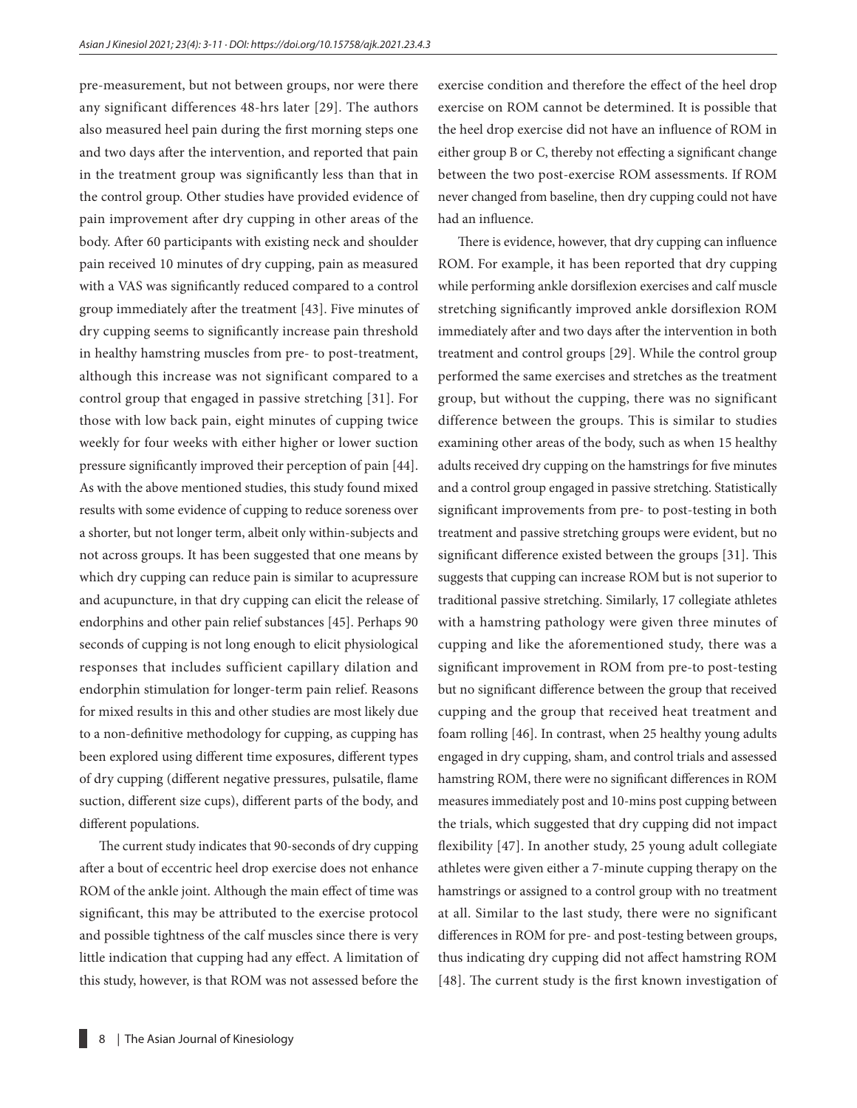pre-measurement, but not between groups, nor were there any significant differences 48-hrs later [29]. The authors also measured heel pain during the first morning steps one and two days after the intervention, and reported that pain in the treatment group was significantly less than that in the control group. Other studies have provided evidence of pain improvement after dry cupping in other areas of the body. After 60 participants with existing neck and shoulder pain received 10 minutes of dry cupping, pain as measured with a VAS was significantly reduced compared to a control group immediately after the treatment [43]. Five minutes of dry cupping seems to significantly increase pain threshold in healthy hamstring muscles from pre- to post-treatment, although this increase was not significant compared to a control group that engaged in passive stretching [31]. For those with low back pain, eight minutes of cupping twice weekly for four weeks with either higher or lower suction pressure significantly improved their perception of pain [44]. As with the above mentioned studies, this study found mixed results with some evidence of cupping to reduce soreness over a shorter, but not longer term, albeit only within-subjects and not across groups. It has been suggested that one means by which dry cupping can reduce pain is similar to acupressure and acupuncture, in that dry cupping can elicit the release of endorphins and other pain relief substances [45]. Perhaps 90 seconds of cupping is not long enough to elicit physiological responses that includes sufficient capillary dilation and endorphin stimulation for longer-term pain relief. Reasons for mixed results in this and other studies are most likely due to a non-definitive methodology for cupping, as cupping has been explored using different time exposures, different types of dry cupping (different negative pressures, pulsatile, flame suction, different size cups), different parts of the body, and different populations.

The current study indicates that 90-seconds of dry cupping after a bout of eccentric heel drop exercise does not enhance ROM of the ankle joint. Although the main effect of time was significant, this may be attributed to the exercise protocol and possible tightness of the calf muscles since there is very little indication that cupping had any effect. A limitation of this study, however, is that ROM was not assessed before the exercise condition and therefore the effect of the heel drop exercise on ROM cannot be determined. It is possible that the heel drop exercise did not have an influence of ROM in either group B or C, thereby not effecting a significant change between the two post-exercise ROM assessments. If ROM never changed from baseline, then dry cupping could not have had an influence.

There is evidence, however, that dry cupping can influence ROM. For example, it has been reported that dry cupping while performing ankle dorsiflexion exercises and calf muscle stretching significantly improved ankle dorsiflexion ROM immediately after and two days after the intervention in both treatment and control groups [29]. While the control group performed the same exercises and stretches as the treatment group, but without the cupping, there was no significant difference between the groups. This is similar to studies examining other areas of the body, such as when 15 healthy adults received dry cupping on the hamstrings for five minutes and a control group engaged in passive stretching. Statistically significant improvements from pre- to post-testing in both treatment and passive stretching groups were evident, but no significant difference existed between the groups [31]. This suggests that cupping can increase ROM but is not superior to traditional passive stretching. Similarly, 17 collegiate athletes with a hamstring pathology were given three minutes of cupping and like the aforementioned study, there was a significant improvement in ROM from pre-to post-testing but no significant difference between the group that received cupping and the group that received heat treatment and foam rolling [46]. In contrast, when 25 healthy young adults engaged in dry cupping, sham, and control trials and assessed hamstring ROM, there were no significant differences in ROM measures immediately post and 10-mins post cupping between the trials, which suggested that dry cupping did not impact flexibility [47]. In another study, 25 young adult collegiate athletes were given either a 7-minute cupping therapy on the hamstrings or assigned to a control group with no treatment at all. Similar to the last study, there were no significant differences in ROM for pre- and post-testing between groups, thus indicating dry cupping did not affect hamstring ROM [48]. The current study is the first known investigation of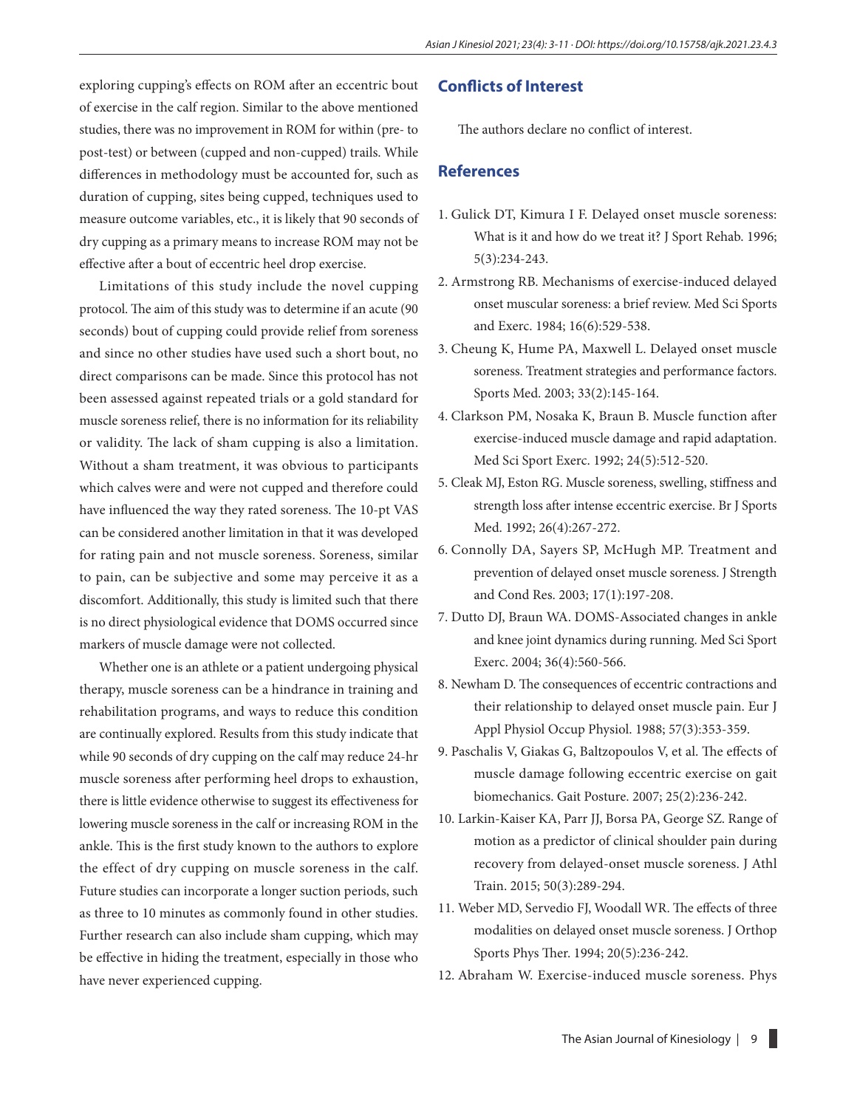exploring cupping's effects on ROM after an eccentric bout of exercise in the calf region. Similar to the above mentioned studies, there was no improvement in ROM for within (pre- to post-test) or between (cupped and non-cupped) trails. While differences in methodology must be accounted for, such as duration of cupping, sites being cupped, techniques used to measure outcome variables, etc., it is likely that 90 seconds of dry cupping as a primary means to increase ROM may not be effective after a bout of eccentric heel drop exercise.

Limitations of this study include the novel cupping protocol. The aim of this study was to determine if an acute (90 seconds) bout of cupping could provide relief from soreness and since no other studies have used such a short bout, no direct comparisons can be made. Since this protocol has not been assessed against repeated trials or a gold standard for muscle soreness relief, there is no information for its reliability or validity. The lack of sham cupping is also a limitation. Without a sham treatment, it was obvious to participants which calves were and were not cupped and therefore could have influenced the way they rated soreness. The 10-pt VAS can be considered another limitation in that it was developed for rating pain and not muscle soreness. Soreness, similar to pain, can be subjective and some may perceive it as a discomfort. Additionally, this study is limited such that there is no direct physiological evidence that DOMS occurred since markers of muscle damage were not collected.

Whether one is an athlete or a patient undergoing physical therapy, muscle soreness can be a hindrance in training and rehabilitation programs, and ways to reduce this condition are continually explored. Results from this study indicate that while 90 seconds of dry cupping on the calf may reduce 24-hr muscle soreness after performing heel drops to exhaustion, there is little evidence otherwise to suggest its effectiveness for lowering muscle soreness in the calf or increasing ROM in the ankle. This is the first study known to the authors to explore the effect of dry cupping on muscle soreness in the calf. Future studies can incorporate a longer suction periods, such as three to 10 minutes as commonly found in other studies. Further research can also include sham cupping, which may be effective in hiding the treatment, especially in those who have never experienced cupping.

### **Conflicts of Interest**

The authors declare no conflict of interest.

## **References**

- 1. Gulick DT, Kimura I F. Delayed onset muscle soreness: What is it and how do we treat it? J Sport Rehab. 1996; 5(3):234-243.
- 2. Armstrong RB. Mechanisms of exercise-induced delayed onset muscular soreness: a brief review. Med Sci Sports and Exerc. 1984; 16(6):529-538.
- 3. Cheung K, Hume PA, Maxwell L. Delayed onset muscle soreness. Treatment strategies and performance factors. Sports Med. 2003; 33(2):145-164.
- 4. Clarkson PM, Nosaka K, Braun B. Muscle function after exercise-induced muscle damage and rapid adaptation. Med Sci Sport Exerc. 1992; 24(5):512-520.
- 5. Cleak MJ, Eston RG. Muscle soreness, swelling, stiffness and strength loss after intense eccentric exercise. Br J Sports Med. 1992; 26(4):267-272.
- 6. Connolly DA, Sayers SP, McHugh MP. Treatment and prevention of delayed onset muscle soreness. J Strength and Cond Res. 2003; 17(1):197-208.
- 7. Dutto DJ, Braun WA. DOMS-Associated changes in ankle and knee joint dynamics during running. Med Sci Sport Exerc. 2004; 36(4):560-566.
- 8. Newham D. The consequences of eccentric contractions and their relationship to delayed onset muscle pain. Eur J Appl Physiol Occup Physiol. 1988; 57(3):353-359.
- 9. Paschalis V, Giakas G, Baltzopoulos V, et al. The effects of muscle damage following eccentric exercise on gait biomechanics. Gait Posture. 2007; 25(2):236-242.
- 10. Larkin-Kaiser KA, Parr JJ, Borsa PA, George SZ. Range of motion as a predictor of clinical shoulder pain during recovery from delayed-onset muscle soreness. J Athl Train. 2015; 50(3):289-294.
- 11. Weber MD, Servedio FJ, Woodall WR. The effects of three modalities on delayed onset muscle soreness. J Orthop Sports Phys Ther. 1994; 20(5):236-242.
- 12. Abraham W. Exercise-induced muscle soreness. Phys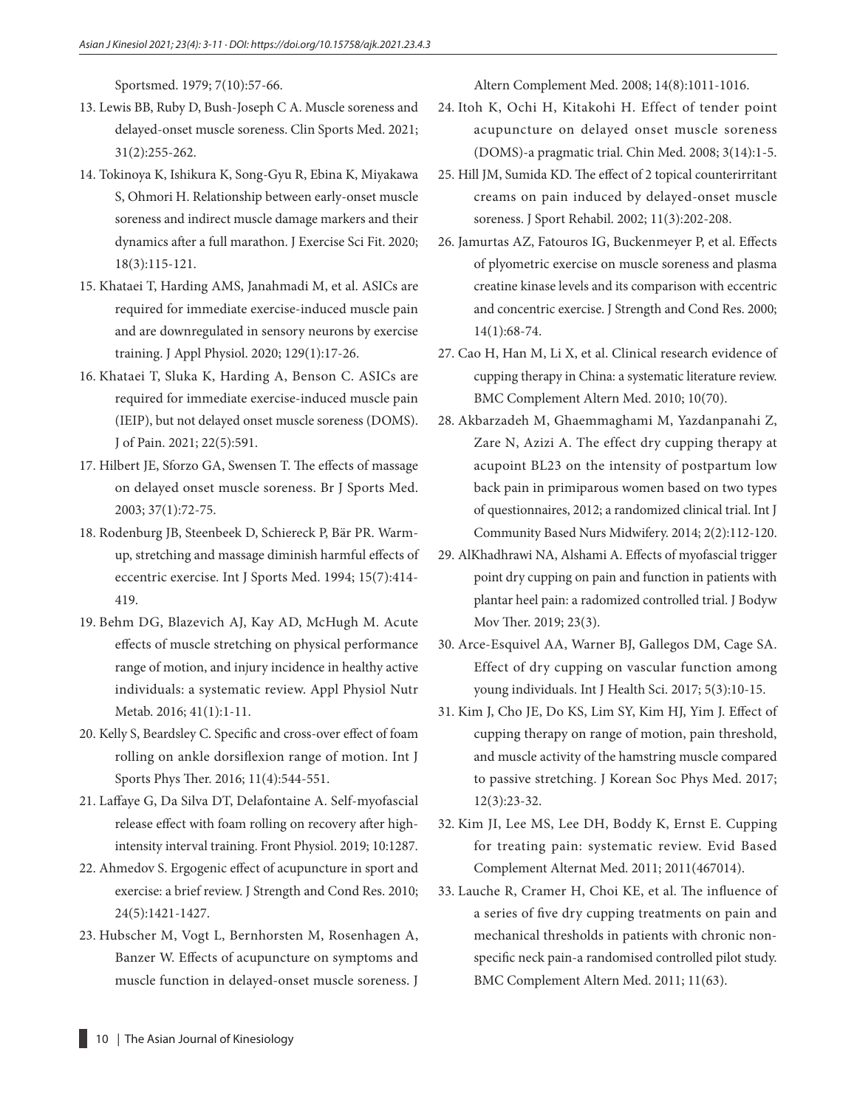Sportsmed. 1979; 7(10):57-66.

- 13. Lewis BB, Ruby D, Bush-Joseph C A. Muscle soreness and delayed-onset muscle soreness. Clin Sports Med. 2021; 31(2):255-262.
- 14. Tokinoya K, Ishikura K, Song-Gyu R, Ebina K, Miyakawa S, Ohmori H. Relationship between early-onset muscle soreness and indirect muscle damage markers and their dynamics after a full marathon. J Exercise Sci Fit. 2020; 18(3):115-121.
- 15. Khataei T, Harding AMS, Janahmadi M, et al. ASICs are required for immediate exercise-induced muscle pain and are downregulated in sensory neurons by exercise training. J Appl Physiol. 2020; 129(1):17-26.
- 16. Khataei T, Sluka K, Harding A, Benson C. ASICs are required for immediate exercise-induced muscle pain (IEIP), but not delayed onset muscle soreness (DOMS). J of Pain. 2021; 22(5):591.
- 17. Hilbert JE, Sforzo GA, Swensen T. The effects of massage on delayed onset muscle soreness. Br J Sports Med. 2003; 37(1):72-75.
- 18. Rodenburg JB, Steenbeek D, Schiereck P, Bär PR. Warmup, stretching and massage diminish harmful effects of eccentric exercise. Int J Sports Med. 1994; 15(7):414- 419.
- 19. Behm DG, Blazevich AJ, Kay AD, McHugh M. Acute effects of muscle stretching on physical performance range of motion, and injury incidence in healthy active individuals: a systematic review. Appl Physiol Nutr Metab. 2016; 41(1):1-11.
- 20. Kelly S, Beardsley C. Specific and cross-over effect of foam rolling on ankle dorsiflexion range of motion. Int J Sports Phys Ther. 2016; 11(4):544-551.
- 21. Laffaye G, Da Silva DT, Delafontaine A. Self-myofascial release effect with foam rolling on recovery after highintensity interval training. Front Physiol. 2019; 10:1287.
- 22. Ahmedov S. Ergogenic effect of acupuncture in sport and exercise: a brief review. J Strength and Cond Res. 2010; 24(5):1421-1427.
- 23. Hubscher M, Vogt L, Bernhorsten M, Rosenhagen A, Banzer W. Effects of acupuncture on symptoms and muscle function in delayed-onset muscle soreness. J

Altern Complement Med. 2008; 14(8):1011-1016.

- 24. Itoh K, Ochi H, Kitakohi H. Effect of tender point acupuncture on delayed onset muscle soreness (DOMS)-a pragmatic trial. Chin Med. 2008; 3(14):1-5.
- 25. Hill JM, Sumida KD. The effect of 2 topical counterirritant creams on pain induced by delayed-onset muscle soreness. J Sport Rehabil. 2002; 11(3):202-208.
- 26. Jamurtas AZ, Fatouros IG, Buckenmeyer P, et al. Effects of plyometric exercise on muscle soreness and plasma creatine kinase levels and its comparison with eccentric and concentric exercise. J Strength and Cond Res. 2000; 14(1):68-74.
- 27. Cao H, Han M, Li X, et al. Clinical research evidence of cupping therapy in China: a systematic literature review. BMC Complement Altern Med. 2010; 10(70).
- 28. Akbarzadeh M, Ghaemmaghami M, Yazdanpanahi Z, Zare N, Azizi A. The effect dry cupping therapy at acupoint BL23 on the intensity of postpartum low back pain in primiparous women based on two types of questionnaires, 2012; a randomized clinical trial. Int J Community Based Nurs Midwifery. 2014; 2(2):112-120.
- 29. AlKhadhrawi NA, Alshami A. Effects of myofascial trigger point dry cupping on pain and function in patients with plantar heel pain: a radomized controlled trial. J Bodyw Mov Ther. 2019; 23(3).
- 30. Arce-Esquivel AA, Warner BJ, Gallegos DM, Cage SA. Effect of dry cupping on vascular function among young individuals. Int J Health Sci. 2017; 5(3):10-15.
- 31. Kim J, Cho JE, Do KS, Lim SY, Kim HJ, Yim J. Effect of cupping therapy on range of motion, pain threshold, and muscle activity of the hamstring muscle compared to passive stretching. J Korean Soc Phys Med. 2017; 12(3):23-32.
- 32. Kim JI, Lee MS, Lee DH, Boddy K, Ernst E. Cupping for treating pain: systematic review. Evid Based Complement Alternat Med. 2011; 2011(467014).
- 33. Lauche R, Cramer H, Choi KE, et al. The influence of a series of five dry cupping treatments on pain and mechanical thresholds in patients with chronic nonspecific neck pain-a randomised controlled pilot study. BMC Complement Altern Med. 2011; 11(63).